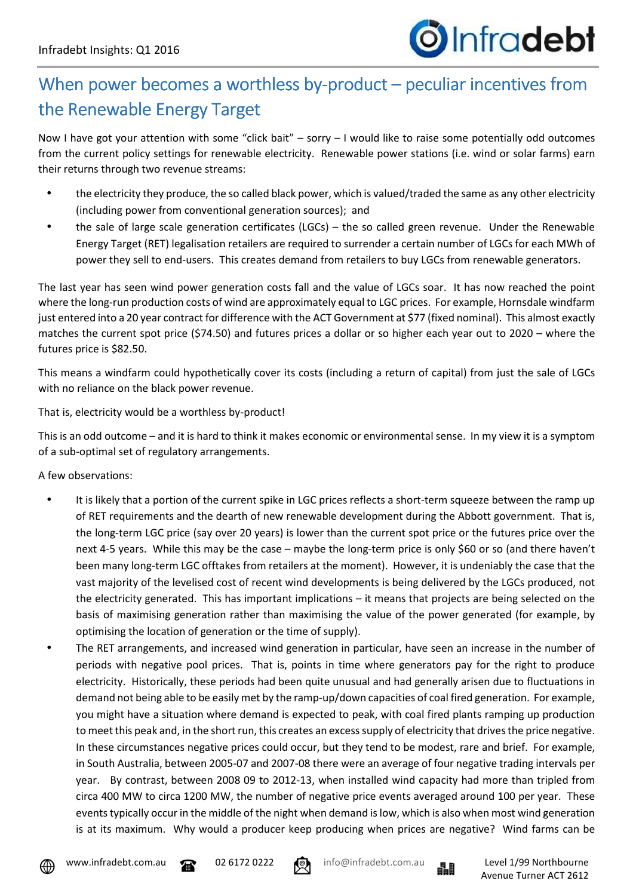

## When power becomes a worthless by-product – peculiar incentives from the Renewable Energy Target

Now I have got your attention with some "click bait" – sorry – I would like to raise some potentially odd outcomes from the current policy settings for renewable electricity. Renewable power stations (i.e. wind or solar farms) earn their returns through two revenue streams:

- the electricity they produce, the so called black power, which is valued/traded the same as any other electricity (including power from conventional generation sources); and
- the sale of large scale generation certificates (LGCs) the so called green revenue. Under the Renewable Energy Target (RET) legalisation retailers are required to surrender a certain number of LGCs for each MWh of power they sell to end-users. This creates demand from retailers to buy LGCs from renewable generators.

The last year has seen wind power generation costs fall and the value of LGCs soar. It has now reached the point where the long-run production costs of wind are approximately equal to LGC prices. For example, Hornsdale windfarm just entered into a 20 year contract for difference with the ACT Government at \$77 (fixed nominal). This almost exactly matches the current spot price (\$74.50) and futures prices a dollar or so higher each year out to 2020 – where the futures price is \$82.50.

This means a windfarm could hypothetically cover its costs (including a return of capital) from just the sale of LGCs with no reliance on the black power revenue.

That is, electricity would be a worthless by-product!

This is an odd outcome – and it is hard to think it makes economic or environmental sense. In my view it is a symptom of a sub-optimal set of regulatory arrangements.

A few observations:

- It is likely that a portion of the current spike in LGC prices reflects a short-term squeeze between the ramp up of RET requirements and the dearth of new renewable development during the Abbott government. That is, the long-term LGC price (say over 20 years) is lower than the current spot price or the futures price over the next 4-5 years. While this may be the case – maybe the long-term price is only \$60 or so (and there haven't been many long-term LGC offtakes from retailers at the moment). However, it is undeniably the case that the vast majority of the levelised cost of recent wind developments is being delivered by the LGCs produced, not the electricity generated. This has important implications – it means that projects are being selected on the basis of maximising generation rather than maximising the value of the power generated (for example, by optimising the location of generation or the time of supply).
- The RET arrangements, and increased wind generation in particular, have seen an increase in the number of periods with negative pool prices. That is, points in time where generators pay for the right to produce electricity. Historically, these periods had been quite unusual and had generally arisen due to fluctuations in demand not being able to be easily met by the ramp-up/down capacities of coal fired generation. For example, you might have a situation where demand is expected to peak, with coal fired plants ramping up production to meet this peak and, in the short run, this creates an excess supply of electricity that drives the price negative. In these circumstances negative prices could occur, but they tend to be modest, rare and brief. For example, in South Australia, between 2005-07 and 2007-08 there were an average of four negative trading intervals per year. By contrast, between 2008 09 to 2012-13, when installed wind capacity had more than tripled from circa 400 MW to circa 1200 MW, the number of negative price events averaged around 100 per year. These events typically occur in the middle of the night when demand is low, which is also when most wind generation is at its maximum. Why would a producer keep producing when prices are negative? Wind farms can be